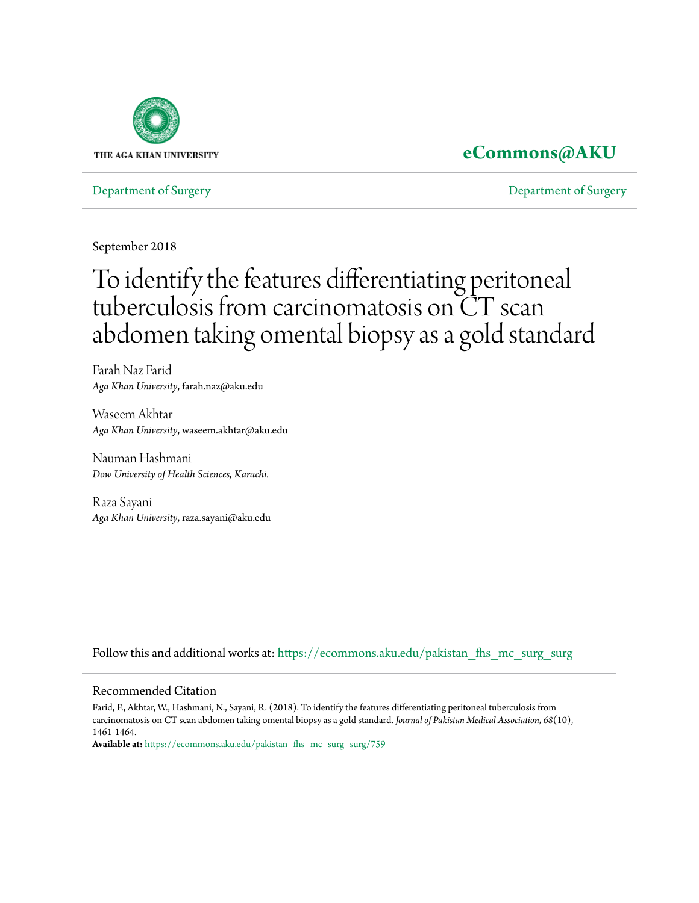

## **[eCommons@AKU](https://ecommons.aku.edu?utm_source=ecommons.aku.edu%2Fpakistan_fhs_mc_surg_surg%2F759&utm_medium=PDF&utm_campaign=PDFCoverPages)**

[Department of Surgery](https://ecommons.aku.edu/pakistan_fhs_mc_surg_surg?utm_source=ecommons.aku.edu%2Fpakistan_fhs_mc_surg_surg%2F759&utm_medium=PDF&utm_campaign=PDFCoverPages) [Department of Surgery](https://ecommons.aku.edu/pakistan_fhs_mc_surg?utm_source=ecommons.aku.edu%2Fpakistan_fhs_mc_surg_surg%2F759&utm_medium=PDF&utm_campaign=PDFCoverPages)

September 2018

# To identify the features differentiating peritoneal tuberculosis from carcinomatosis on CT scan abdomen taking omental biopsy as a gold standard

Farah Naz Farid *Aga Khan University*, farah.naz@aku.edu

Waseem Akhtar *Aga Khan University*, waseem.akhtar@aku.edu

Nauman Hashmani *Dow University of Health Sciences, Karachi.*

Raza Sayani *Aga Khan University*, raza.sayani@aku.edu

Follow this and additional works at: [https://ecommons.aku.edu/pakistan\\_fhs\\_mc\\_surg\\_surg](https://ecommons.aku.edu/pakistan_fhs_mc_surg_surg?utm_source=ecommons.aku.edu%2Fpakistan_fhs_mc_surg_surg%2F759&utm_medium=PDF&utm_campaign=PDFCoverPages)

#### Recommended Citation

Farid, F., Akhtar, W., Hashmani, N., Sayani, R. (2018). To identify the features differentiating peritoneal tuberculosis from carcinomatosis on CT scan abdomen taking omental biopsy as a gold standard. *Journal of Pakistan Medical Association, 68*(10), 1461-1464.

**Available at:** [https://ecommons.aku.edu/pakistan\\_fhs\\_mc\\_surg\\_surg/759](https://ecommons.aku.edu/pakistan_fhs_mc_surg_surg/759)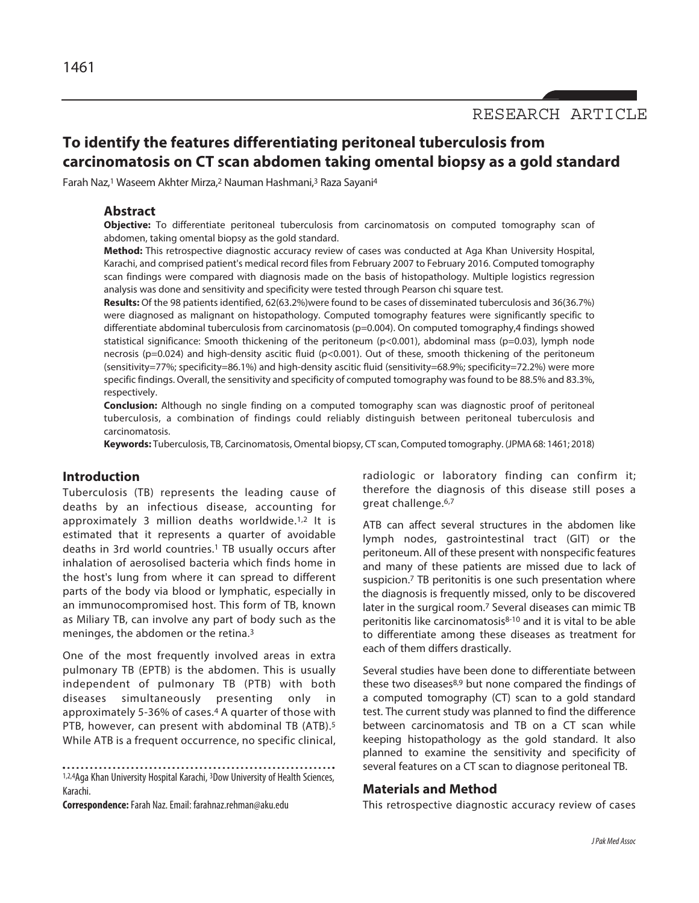RESEARCH ARTICLE

### **To identify the features differentiating peritoneal tuberculosis from carcinomatosis on CT scan abdomen taking omental biopsy as a gold standard**

Farah Naz,1 Waseem Akhter Mirza,2 Nauman Hashmani,3 Raza Sayani4

#### **Abstract**

**Objective:** To differentiate peritoneal tuberculosis from carcinomatosis on computed tomography scan of abdomen, taking omental biopsy as the gold standard.

**Method:** This retrospective diagnostic accuracy review of cases was conducted at Aga Khan University Hospital, Karachi, and comprised patient's medical record files from February 2007 to February 2016. Computed tomography scan findings were compared with diagnosis made on the basis of histopathology. Multiple logistics regression analysis was done and sensitivity and specificity were tested through Pearson chi square test.

**Results:** Of the 98 patients identified, 62(63.2%)were found to be cases of disseminated tuberculosis and 36(36.7%) were diagnosed as malignant on histopathology. Computed tomography features were significantly specific to differentiate abdominal tuberculosis from carcinomatosis (p=0.004). On computed tomography,4 findings showed statistical significance: Smooth thickening of the peritoneum (p<0.001), abdominal mass (p=0.03), lymph node necrosis (p=0.024) and high-density ascitic fluid (p<0.001). Out of these, smooth thickening of the peritoneum (sensitivity=77%; specificity=86.1%) and high-density ascitic fluid (sensitivity=68.9%; specificity=72.2%) were more specific findings. Overall, the sensitivity and specificity of computed tomography was found to be 88.5% and 83.3%, respectively.

**Conclusion:** Although no single finding on a computed tomography scan was diagnostic proof of peritoneal tuberculosis, a combination of findings could reliably distinguish between peritoneal tuberculosis and carcinomatosis.

**Keywords:** Tuberculosis, TB, Carcinomatosis, Omental biopsy, CT scan, Computed tomography. (JPMA 68: 1461; 2018)

#### **Introduction**

Tuberculosis (TB) represents the leading cause of deaths by an infectious disease, accounting for approximately 3 million deaths worldwide.<sup>1,2</sup> It is estimated that it represents a quarter of avoidable deaths in 3rd world countries.1 TB usually occurs after inhalation of aerosolised bacteria which finds home in the host's lung from where it can spread to different parts of the body via blood or lymphatic, especially in an immunocompromised host. This form of TB, known as Miliary TB, can involve any part of body such as the meninges, the abdomen or the retina.3

One of the most frequently involved areas in extra pulmonary TB (EPTB) is the abdomen. This is usually independent of pulmonary TB (PTB) with both diseases simultaneously presenting only in approximately 5-36% of cases.4 A quarter of those with PTB, however, can present with abdominal TB (ATB).<sup>5</sup> While ATB is a frequent occurrence, no specific clinical,

**Correspondence:** Farah Naz. Email: farahnaz.rehman@aku.edu

radiologic or laboratory finding can confirm it; therefore the diagnosis of this disease still poses a great challenge.6,7

ATB can affect several structures in the abdomen like lymph nodes, gastrointestinal tract (GIT) or the peritoneum. All of these present with nonspecific features and many of these patients are missed due to lack of suspicion.<sup>7</sup> TB peritonitis is one such presentation where the diagnosis is frequently missed, only to be discovered later in the surgical room.7 Several diseases can mimic TB peritonitis like carcinomatosis<sup>8-10</sup> and it is vital to be able to differentiate among these diseases as treatment for each of them differs drastically.

Several studies have been done to differentiate between these two diseases<sup>8,9</sup> but none compared the findings of a computed tomography (CT) scan to a gold standard test. The current study was planned to find the difference between carcinomatosis and TB on a CT scan while keeping histopathology as the gold standard. It also planned to examine the sensitivity and specificity of several features on a CT scan to diagnose peritoneal TB.

#### **Materials and Method**

This retrospective diagnostic accuracy review of cases

<sup>1,2,4</sup>Aga Khan University Hospital Karachi, <sup>3</sup>Dow University of Health Sciences, Karachi.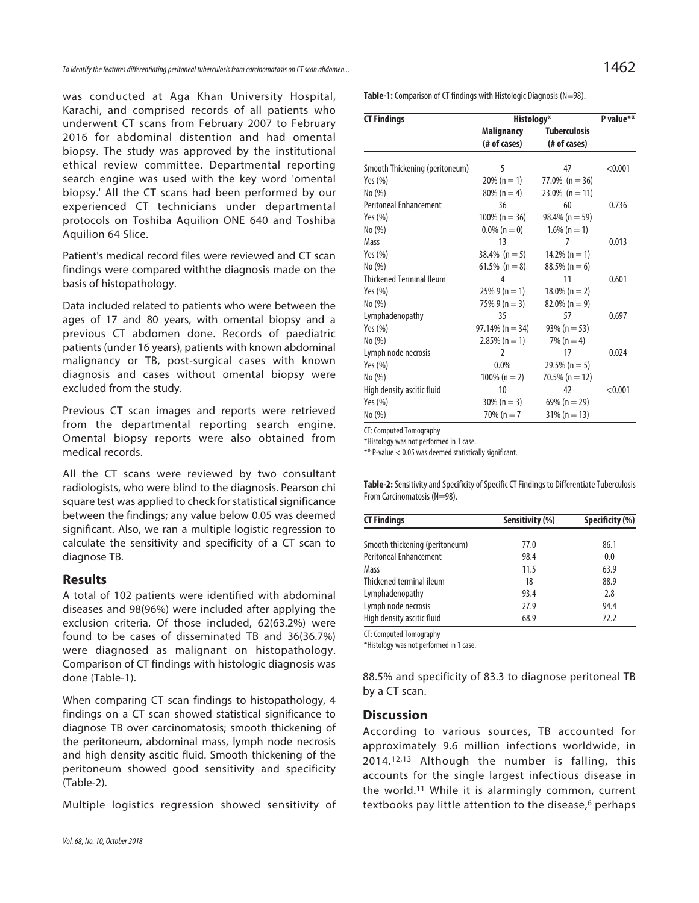was conducted at Aga Khan University Hospital, Karachi, and comprised records of all patients who underwent CT scans from February 2007 to February 2016 for abdominal distention and had omental biopsy. The study was approved by the institutional ethical review committee. Departmental reporting search engine was used with the key word 'omental biopsy.' All the CT scans had been performed by our experienced CT technicians under departmental protocols on Toshiba Aquilion ONE 640 and Toshiba Aquilion 64 Slice.

Patient's medical record files were reviewed and CT scan findings were compared withthe diagnosis made on the basis of histopathology.

Data included related to patients who were between the ages of 17 and 80 years, with omental biopsy and a previous CT abdomen done. Records of paediatric patients (under 16 years), patients with known abdominal malignancy or TB, post-surgical cases with known diagnosis and cases without omental biopsy were excluded from the study.

Previous CT scan images and reports were retrieved from the departmental reporting search engine. Omental biopsy reports were also obtained from medical records.

All the CT scans were reviewed by two consultant radiologists, who were blind to the diagnosis. Pearson chi square test was applied to check for statistical significance between the findings; any value below 0.05 was deemed significant. Also, we ran a multiple logistic regression to calculate the sensitivity and specificity of a CT scan to diagnose TB.

#### **Results**

A total of 102 patients were identified with abdominal diseases and 98(96%) were included after applying the exclusion criteria. Of those included, 62(63.2%) were found to be cases of disseminated TB and 36(36.7%) were diagnosed as malignant on histopathology. Comparison of CT findings with histologic diagnosis was done (Table-1).

When comparing CT scan findings to histopathology, 4 findings on a CT scan showed statistical significance to diagnose TB over carcinomatosis; smooth thickening of the peritoneum, abdominal mass, lymph node necrosis and high density ascitic fluid. Smooth thickening of the peritoneum showed good sensitivity and specificity (Table-2).

Multiple logistics regression showed sensitivity of

**Table-1:** Comparison of CT findings with Histologic Diagnosis (N=98).

| <b>CT Findings</b>              | Histology*         |                     | P value** |
|---------------------------------|--------------------|---------------------|-----------|
|                                 | <b>Malignancy</b>  | <b>Tuberculosis</b> |           |
|                                 | (# of cases)       | (# of cases)        |           |
| Smooth Thickening (peritoneum)  | 5                  | 47                  | < 0.001   |
| Yes $(\%)$                      | $20\% (n = 1)$     | 77.0% ( $n = 36$ )  |           |
| No(%)                           | $80\% (n=4)$       | $23.0\%$ (n = 11)   |           |
| <b>Peritoneal Enhancement</b>   | 36                 | 60                  | 0.736     |
| Yes $(\%)$                      | $100\%$ (n = 36)   | $98.4\%$ (n = 59)   |           |
| No(%)                           | $0.0\%$ (n = 0)    | $1.6\%$ (n = 1)     |           |
| Mass                            | 13                 | 7                   | 0.013     |
| Yes $(\%)$                      | $38.4\%$ (n = 5)   | $14.2\%$ (n = 1)    |           |
| No(%)                           | 61.5% $(n = 8)$    | $88.5\%$ (n = 6)    |           |
| <b>Thickened Terminal Ileum</b> | 4                  | 11                  | 0.601     |
| Yes $(\%)$                      | $25\%9(n=1)$       | $18.0\%$ (n = 2)    |           |
| No(%)                           | $75\%9(n=3)$       | $82.0\%$ (n = 9)    |           |
| Lymphadenopathy                 | 35                 | 57                  | 0.697     |
| Yes $(\%)$                      | $97.14\%$ (n = 34) | $93\%$ (n = 53)     |           |
| No(%)                           | $2.85\%$ (n = 1)   | $7\%$ (n = 4)       |           |
| Lymph node necrosis             | 2                  | 17                  | 0.024     |
| Yes $(\%)$                      | 0.0%               | $29.5\% (n = 5)$    |           |
| No(%)                           | $100\% (n = 2)$    | 70.5% ( $n = 12$ )  |           |
| High density ascitic fluid      | 10                 | 42                  | < 0.001   |
| Yes $(\%)$                      | $30\% (n = 3)$     | 69% ( $n = 29$ )    |           |
| No(%)                           | $70\%$ (n = 7      | $31\% (n = 13)$     |           |

CT: Computed Tomography

\*Histology was not performed in 1 case.

\*\* P-value < 0.05 was deemed statistically significant.

**Table-2:** Sensitivity and Specificity of Specific CT Findings to Differentiate Tuberculosis From Carcinomatosis (N=98).

| <b>CT Findings</b>             | Sensitivity (%) | Specificity (%) |  |
|--------------------------------|-----------------|-----------------|--|
|                                |                 |                 |  |
| Smooth thickening (peritoneum) | 77.0            | 86.1            |  |
| <b>Peritoneal Enhancement</b>  | 98.4            | 0.0             |  |
| Mass                           | 11.5            | 63.9            |  |
| Thickened terminal ileum       | 18              | 88.9            |  |
| Lymphadenopathy                | 93.4            | 2.8             |  |
| Lymph node necrosis            | 27.9            | 94.4            |  |
| High density ascitic fluid     | 68.9            | 72.2            |  |

CT: Computed Tomography

\*Histology was not performed in 1 case.

88.5% and specificity of 83.3 to diagnose peritoneal TB by a CT scan.

#### **Discussion**

According to various sources, TB accounted for approximately 9.6 million infections worldwide, in 2014.12,13 Although the number is falling, this accounts for the single largest infectious disease in the world.11 While it is alarmingly common, current textbooks pay little attention to the disease,<sup>6</sup> perhaps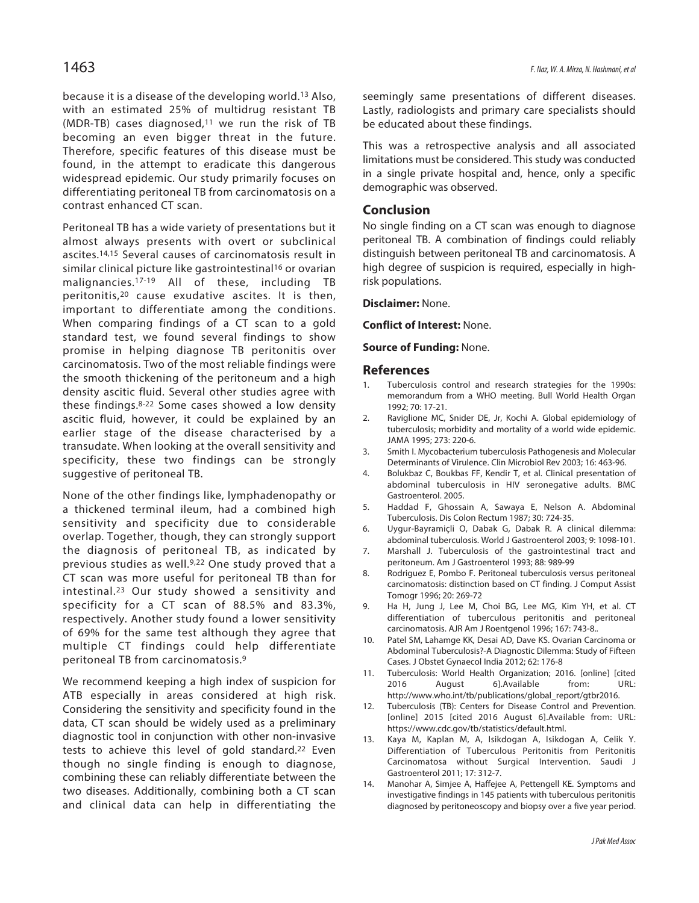because it is a disease of the developing world.13 Also, with an estimated 25% of multidrug resistant TB (MDR-TB) cases diagnosed, $11$  we run the risk of TB becoming an even bigger threat in the future. Therefore, specific features of this disease must be found, in the attempt to eradicate this dangerous widespread epidemic. Our study primarily focuses on differentiating peritoneal TB from carcinomatosis on a contrast enhanced CT scan.

Peritoneal TB has a wide variety of presentations but it almost always presents with overt or subclinical ascites.14,15 Several causes of carcinomatosis result in similar clinical picture like gastrointestinal<sup>16</sup> or ovarian malignancies.17-19 All of these, including TB peritonitis,20 cause exudative ascites. It is then, important to differentiate among the conditions. When comparing findings of a CT scan to a gold standard test, we found several findings to show promise in helping diagnose TB peritonitis over carcinomatosis. Two of the most reliable findings were the smooth thickening of the peritoneum and a high density ascitic fluid. Several other studies agree with these findings.8-22 Some cases showed a low density ascitic fluid, however, it could be explained by an earlier stage of the disease characterised by a transudate. When looking at the overall sensitivity and specificity, these two findings can be strongly suggestive of peritoneal TB.

None of the other findings like, lymphadenopathy or a thickened terminal ileum, had a combined high sensitivity and specificity due to considerable overlap. Together, though, they can strongly support the diagnosis of peritoneal TB, as indicated by previous studies as well.<sup>9,22</sup> One study proved that a CT scan was more useful for peritoneal TB than for intestinal.23 Our study showed a sensitivity and specificity for a CT scan of 88.5% and 83.3%, respectively. Another study found a lower sensitivity of 69% for the same test although they agree that multiple CT findings could help differentiate peritoneal TB from carcinomatosis.9

We recommend keeping a high index of suspicion for ATB especially in areas considered at high risk. Considering the sensitivity and specificity found in the data, CT scan should be widely used as a preliminary diagnostic tool in conjunction with other non-invasive tests to achieve this level of gold standard.<sup>22</sup> Even though no single finding is enough to diagnose, combining these can reliably differentiate between the two diseases. Additionally, combining both a CT scan and clinical data can help in differentiating the seemingly same presentations of different diseases. Lastly, radiologists and primary care specialists should be educated about these findings.

This was a retrospective analysis and all associated limitations must be considered. This study was conducted in a single private hospital and, hence, only a specific demographic was observed.

#### **Conclusion**

No single finding on a CT scan was enough to diagnose peritoneal TB. A combination of findings could reliably distinguish between peritoneal TB and carcinomatosis. A high degree of suspicion is required, especially in highrisk populations.

**Disclaimer:** None.

**Conflict of Interest:** None.

#### **Source of Funding:** None.

#### **References**

- Tuberculosis control and research strategies for the 1990s: memorandum from a WHO meeting. Bull World Health Organ 1992; 70: 17-21.
- 2. Raviglione MC, Snider DE, Jr, Kochi A. Global epidemiology of tuberculosis; morbidity and mortality of a world wide epidemic. JAMA 1995; 273: 220-6.
- 3. Smith I. Mycobacterium tuberculosis Pathogenesis and Molecular Determinants of Virulence. Clin Microbiol Rev 2003; 16: 463-96.
- 4. Bolukbaz C, Boukbas FF, Kendir T, et al. Clinical presentation of abdominal tuberculosis in HIV seronegative adults. BMC Gastroenterol. 2005.
- 5. Haddad F, Ghossain A, Sawaya E, Nelson A. Abdominal Tuberculosis. Dis Colon Rectum 1987; 30: 724-35.
- 6. Uygur-Bayramiçli O, Dabak G, Dabak R. A clinical dilemma: abdominal tuberculosis. World J Gastroenterol 2003; 9: 1098-101.
- 7. Marshall J. Tuberculosis of the gastrointestinal tract and peritoneum. Am J Gastroenterol 1993; 88: 989-99
- 8. Rodriguez E, Pombo F. Peritoneal tuberculosis versus peritoneal carcinomatosis: distinction based on CT finding. J Comput Assist Tomogr 1996; 20: 269-72
- 9. Ha H, Jung J, Lee M, Choi BG, Lee MG, Kim YH, et al. CT differentiation of tuberculous peritonitis and peritoneal carcinomatosis. AJR Am J Roentgenol 1996; 167: 743-8..
- 10. Patel SM, Lahamge KK, Desai AD, Dave KS. Ovarian Carcinoma or Abdominal Tuberculosis?-A Diagnostic Dilemma: Study of Fifteen Cases. J Obstet Gynaecol India 2012; 62: 176-8
- 11. Tuberculosis: World Health Organization; 2016. [online] [cited 2016 August 6].Available from: URL: http://www.who.int/tb/publications/global\_report/gtbr2016.
- 12. Tuberculosis (TB): Centers for Disease Control and Prevention. [online] 2015 [cited 2016 August 6].Available from: URL: https://www.cdc.gov/tb/statistics/default.html.
- 13. Kaya M, Kaplan M, A, Isikdogan A, Isikdogan A, Celik Y. Differentiation of Tuberculous Peritonitis from Peritonitis Carcinomatosa without Surgical Intervention. Saudi J Gastroenterol 2011; 17: 312-7.
- 14. Manohar A, Simjee A, Haffejee A, Pettengell KE. Symptoms and investigative findings in 145 patients with tuberculous peritonitis diagnosed by peritoneoscopy and biopsy over a five year period.